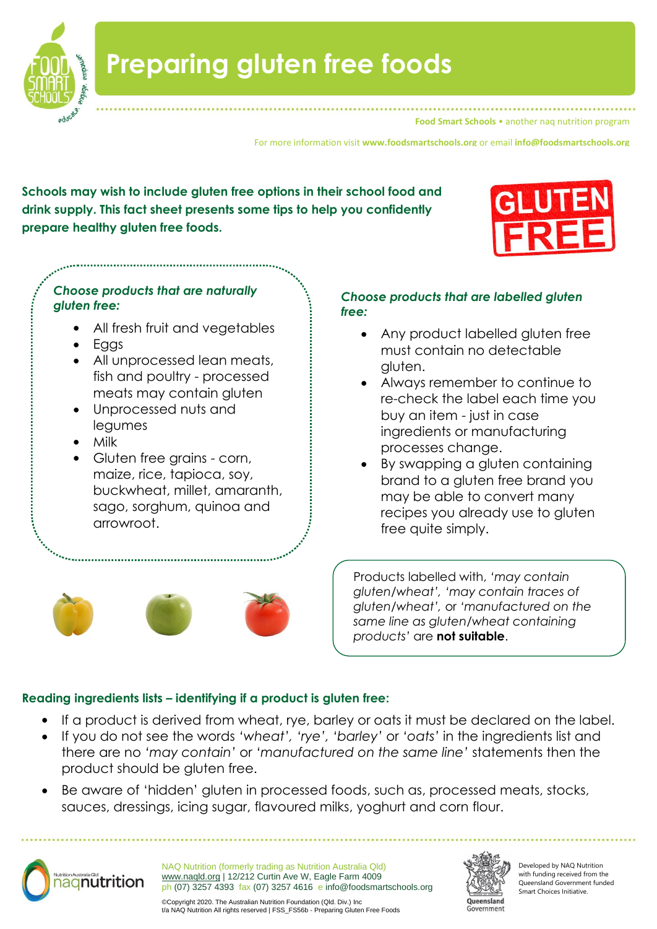

**Food Smart Schools • another nag nutrition program** 

For more information visit **www.foodsmartschools.org** or email **info@foodsmartschools.org**

**Schools may wish to include gluten free options in their school food and drink supply. This fact sheet presents some tips to help you confidently prepare healthy gluten free foods.** 



## *Choose products that are naturally gluten free:*

- All fresh fruit and vegetables
- Eggs
- All unprocessed lean meats, fish and poultry - processed meats may contain gluten
- Unprocessed nuts and legumes
- Milk
- Gluten free grains corn, maize, rice, tapioca, soy, buckwheat, millet, amaranth, sago, sorghum, quinoa and arrowroot.

## *Choose products that are labelled gluten free:*

- Any product labelled gluten free must contain no detectable gluten.
- Always remember to continue to re-check the label each time you buy an item - just in case ingredients or manufacturing processes change.
- By swapping a gluten containing brand to a gluten free brand you may be able to convert many recipes you already use to gluten free quite simply.

Products labelled with, *'may contain gluten/wheat', 'may contain traces of gluten/wheat',* or *'manufactured on the same line as gluten/wheat containing products'* are **not suitable**.

## **Reading ingredients lists – identifying if a product is gluten free:**

- If a product is derived from wheat, rye, barley or oats it must be declared on the label.
- If you do not see the words *'wheat', 'rye', 'barley'* or *'oats'* in the ingredients list and there are no *'may contain'* or *'manufactured on the same line'* statements then the product should be gluten free.
- Be aware of 'hidden' gluten in processed foods, such as, processed meats, stocks, sauces, dressings, icing sugar, flavoured milks, yoghurt and corn flour.



NAQ Nutrition (formerly trading as Nutrition Australia Qld) [www.naqld.org](http://www.naqld.org/) | 12/212 Curtin Ave W, Eagle Farm 4009 ph (07) 3257 4393 fax (07) 3257 4616 e info@foodsmartschools.org



Developed by NAQ Nutrition with funding received from the Queensland Government funded Smart Choices Initiative.

©Copyright 2020. The Australian Nutrition Foundation (Qld. Div.) Inc t/a NAQ Nutrition All rights reserved | FSS\_FS56b - Preparing Gluten Free Foods